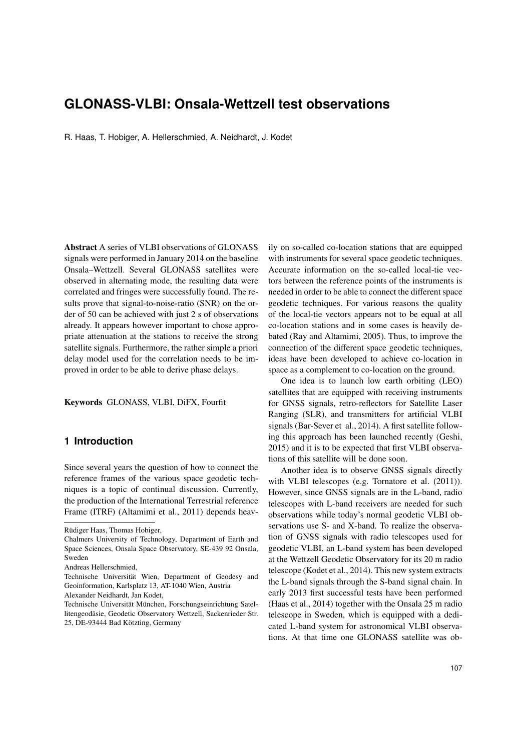# **GLONASS-VLBI: Onsala-Wettzell test observations**

R. Haas, T. Hobiger, A. Hellerschmied, A. Neidhardt, J. Kodet

Abstract A series of VLBI observations of GLONASS signals were performed in January 2014 on the baseline Onsala–Wettzell. Several GLONASS satellites were observed in alternating mode, the resulting data were correlated and fringes were successfully found. The results prove that signal-to-noise-ratio (SNR) on the order of 50 can be achieved with just 2 s of observations already. It appears however important to chose appropriate attenuation at the stations to receive the strong satellite signals. Furthermore, the rather simple a priori delay model used for the correlation needs to be improved in order to be able to derive phase delays.

Keywords GLONASS, VLBI, DiFX, Fourfit

#### **1 Introduction**

Since several years the question of how to connect the reference frames of the various space geodetic techniques is a topic of continual discussion. Currently, the production of the International Terrestrial reference Frame (ITRF) (Altamimi et al., 2011) depends heav-

ily on so-called co-location stations that are equipped with instruments for several space geodetic techniques. Accurate information on the so-called local-tie vectors between the reference points of the instruments is needed in order to be able to connect the different space geodetic techniques. For various reasons the quality of the local-tie vectors appears not to be equal at all co-location stations and in some cases is heavily debated (Ray and Altamimi, 2005). Thus, to improve the connection of the different space geodetic techniques, ideas have been developed to achieve co-location in space as a complement to co-location on the ground.

One idea is to launch low earth orbiting (LEO) satellites that are equipped with receiving instruments for GNSS signals, retro-reflectors for Satellite Laser Ranging (SLR), and transmitters for artificial VLBI signals (Bar-Sever et al., 2014). A first satellite following this approach has been launched recently (Geshi, 2015) and it is to be expected that first VLBI observations of this satellite will be done soon.

Another idea is to observe GNSS signals directly with VLBI telescopes (e.g. Tornatore et al. (2011)). However, since GNSS signals are in the L-band, radio telescopes with L-band receivers are needed for such observations while today's normal geodetic VLBI observations use S- and X-band. To realize the observation of GNSS signals with radio telescopes used for geodetic VLBI, an L-band system has been developed at the Wettzell Geodetic Observatory for its 20 m radio telescope (Kodet et al., 2014). This new system extracts the L-band signals through the S-band signal chain. In early 2013 first successful tests have been performed (Haas et al., 2014) together with the Onsala 25 m radio telescope in Sweden, which is equipped with a dedicated L-band system for astronomical VLBI observations. At that time one GLONASS satellite was ob-

Rüdiger Haas, Thomas Hobiger,

Chalmers University of Technology, Department of Earth and Space Sciences, Onsala Space Observatory, SE-439 92 Onsala, Sweden

Andreas Hellerschmied,

Technische Universität Wien, Department of Geodesy and Geoinformation, Karlsplatz 13, AT-1040 Wien, Austria

Alexander Neidhardt, Jan Kodet,

Technische Universität München, Forschungseinrichtung Satellitengeodäsie, Geodetic Observatory Wettzell, Sackenrieder Str. 25, DE-93444 Bad Kötzting, Germany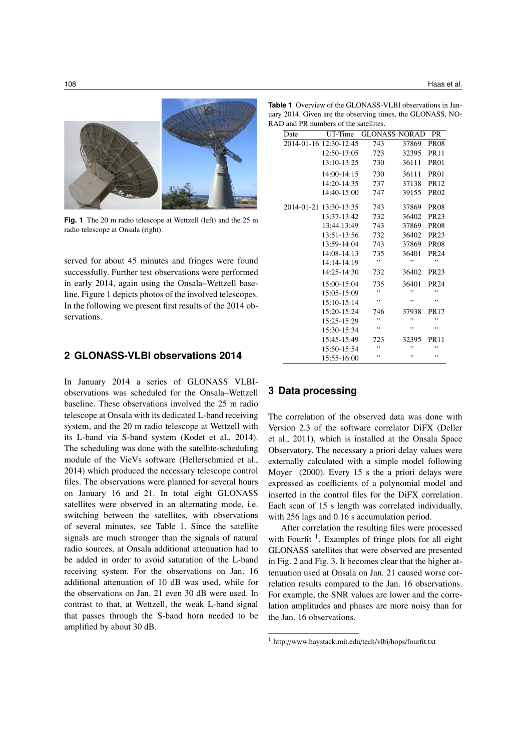

**Fig. 1** The 20 m radio telescope at Wettzell (left) and the 25 m radio telescope at Onsala (right).

served for about 45 minutes and fringes were found successfully. Further test observations were performed in early 2014, again using the Onsala–Wettzell baseline. Figure 1 depicts photos of the involved telescopes. In the following we present first results of the 2014 observations.

# **2 GLONASS-VLBI observations 2014**

In January 2014 a series of GLONASS VLBIobservations was scheduled for the Onsala–Wettzell baseline. These observations involved the 25 m radio telescope at Onsala with its dedicated L-band receiving system, and the 20 m radio telescope at Wettzell with its L-band via S-band system (Kodet et al., 2014). The scheduling was done with the satellite-scheduling module of the VieVs software (Hellerschmied et al., 2014) which produced the necessary telescope control files. The observations were planned for several hours on January 16 and 21. In total eight GLONASS satellites were observed in an alternating mode, i.e. switching between the satellites, with observations of several minutes, see Table 1. Since the satellite signals are much stronger than the signals of natural radio sources, at Onsala additional attenuation had to be added in order to avoid saturation of the L-band receiving system. For the observations on Jan. 16 additional attenuation of 10 dB was used, while for the observations on Jan. 21 even 30 dB were used. In contrast to that, at Wettzell, the weak L-band signal that passes through the S-band horn needed to be amplified by about 30 dB.

**Table 1** Overview of the GLONASS-VLBI observations in January 2014. Given are the observing times, the GLONASS, NO-RAD and PR numbers of the satellites.

| Date       | UT-Time                | <b>GLONASS NORAD</b> |       | <b>PR</b>        |
|------------|------------------------|----------------------|-------|------------------|
|            | 2014-01-16 12:30-12:45 | 743                  | 37869 | <b>PR08</b>      |
|            | 12:50-13:05            | 723                  | 32395 | <b>PR11</b>      |
|            | $13:10-13:25$          | 730                  | 36111 | <b>PR01</b>      |
|            | $14:00-14:15$          | 730                  | 36111 | <b>PR01</b>      |
|            | 14:20-14:35            | 737                  | 37138 | <b>PR12</b>      |
|            | 14:40-15:00            | 747                  | 39155 | <b>PR02</b>      |
| 2014-01-21 | 13:30-13:35            | 743                  | 37869 | <b>PR08</b>      |
|            | 13:37-13:42            | 732                  | 36402 | <b>PR23</b>      |
|            | 13:44.13:49            | 743                  | 37869 | <b>PR08</b>      |
|            | 13:51-13:56            | 732                  | 36402 | PR23             |
|            | 13:59-14:04            | 743                  | 37869 | <b>PR08</b>      |
|            | 14:08-14:13            | 735                  | 36401 | <b>PR24</b>      |
|            | 14:14-14:19            | ,,                   | ,,    | ,,               |
|            | 14:25-14:30            | 732                  | 36402 | <b>PR23</b>      |
|            | $15:00-15:04$          | 735                  | 36401 | PR <sub>24</sub> |
|            | 15:05-15:09            | ,,                   | ,,    | ,,               |
|            | $15:10-15:14$          | ,,                   | ,,    | ,,               |
|            | 15:20-15:24            | 746                  | 37938 | <b>PR17</b>      |
|            | $15:25-15:29$          | ,,                   | ,,    | ,,               |
|            | 15:30-15:34            | ,,                   | ,,    | ,,               |
|            | 15:45-15:49            | 723                  | 32395 | <b>PR11</b>      |
|            | 15:50-15:54            | ,,                   | ,,    | ,,               |
|            | 15:55-16:00            | ,,                   | ,,    | ,,               |

## **3 Data processing**

The correlation of the observed data was done with Version 2.3 of the software correlator DiFX (Deller et al., 2011), which is installed at the Onsala Space Observatory. The necessary a priori delay values were externally calculated with a simple model following Moyer (2000). Every 15 s the a priori delays were expressed as coefficients of a polynomial model and inserted in the control files for the DiFX correlation. Each scan of 15 s length was correlated individually, with 256 lags and 0.16 s accumulation period.

After correlation the resulting files were processed with Fourfit  $<sup>1</sup>$ . Examples of fringe plots for all eight</sup> GLONASS satellites that were observed are presented in Fig. 2 and Fig. 3. It becomes clear that the higher attenuation used at Onsala on Jan. 21 caused worse correlation results compared to the Jan. 16 observations. For example, the SNR values are lower and the correlation amplitudes and phases are more noisy than for the Jan. 16 observations.

<sup>1</sup> http://www.haystack.mit.edu/tech/vlbi/hops/fourfit.txt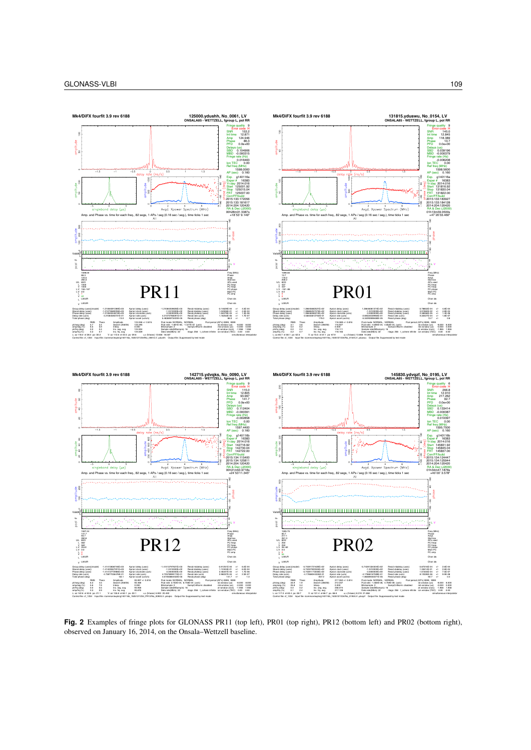

**Fig. 2** Examples of fringe plots for GLONASS PR11 (top left), PR01 (top right), PR12 (bottom left) and PR02 (bottom right), observed on January 16, 2014, on the Onsala–Wettzell baseline.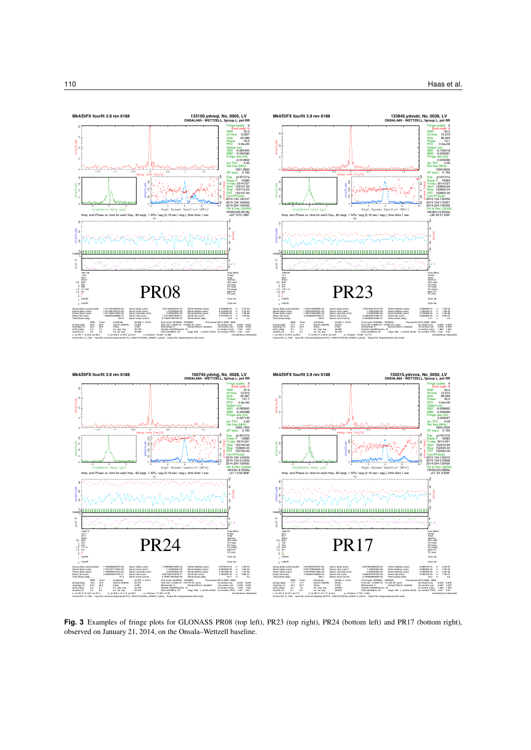

**Fig. 3** Examples of fringe plots for GLONASS PR08 (top left), PR23 (top right), PR24 (bottom left) and PR17 (bottom right), observed on January 21, 2014, on the Onsala–Wettzell baseline.